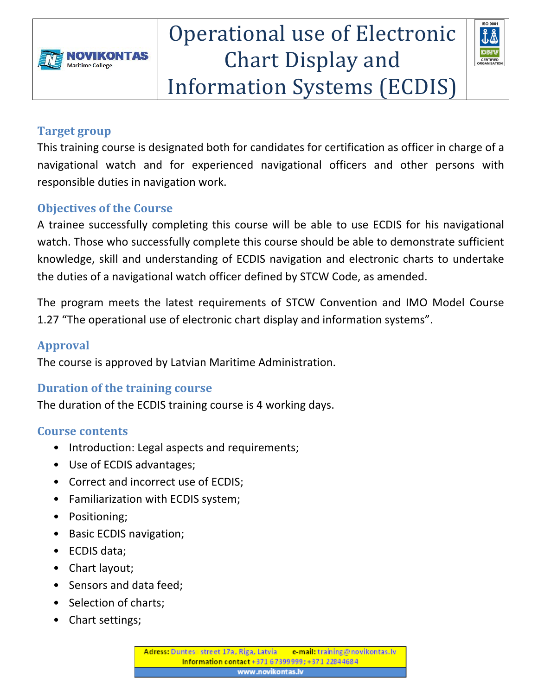

# Operational use of Electronic Chart Display and **Information Systems (ECDIS)**



### **Target group**

This training course is designated both for candidates for certification as officer in charge of a navigational watch and for experienced navigational officers and other persons with responsible duties in navigation work.

## **Objectives of the Course**

A trainee successfully completing this course will be able to use ECDIS for his navigational watch. Those who successfully complete this course should be able to demonstrate sufficient knowledge, skill and understanding of ECDIS navigation and electronic charts to undertake the duties of a navigational watch officer defined by STCW Code, as amended.

The program meets the latest requirements of STCW Convention and IMO Model Course 1.27 "The operational use of electronic chart display and information systems".

## **Approval**

The course is approved by Latvian Maritime Administration.

### **Duration of the training course**

The duration of the ECDIS training course is 4 working days.

#### **Course contents**

- Introduction: Legal aspects and requirements;
- Use of ECDIS advantages;
- Correct and incorrect use of ECDIS;
- Familiarization with ECDIS system;
- Positioning;
- Basic ECDIS navigation;
- ECDIS data;
- $\bullet$  Chart layout;
- Sensors and data feed:
- Selection of charts;
- Chart settings;